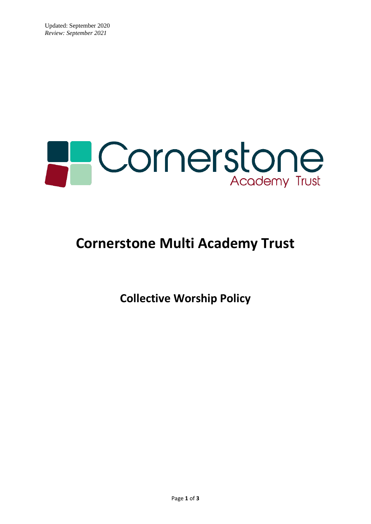

# **Cornerstone Multi Academy Trust**

**Collective Worship Policy**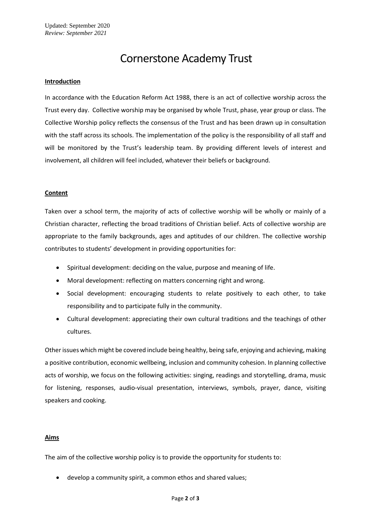# Cornerstone Academy Trust

#### **Introduction**

In accordance with the Education Reform Act 1988, there is an act of collective worship across the Trust every day. Collective worship may be organised by whole Trust, phase, year group or class. The Collective Worship policy reflects the consensus of the Trust and has been drawn up in consultation with the staff across its schools. The implementation of the policy is the responsibility of all staff and will be monitored by the Trust's leadership team. By providing different levels of interest and involvement, all children will feel included, whatever their beliefs or background.

#### **Content**

Taken over a school term, the majority of acts of collective worship will be wholly or mainly of a Christian character, reflecting the broad traditions of Christian belief. Acts of collective worship are appropriate to the family backgrounds, ages and aptitudes of our children. The collective worship contributes to students' development in providing opportunities for:

- Spiritual development: deciding on the value, purpose and meaning of life.
- Moral development: reflecting on matters concerning right and wrong.
- Social development: encouraging students to relate positively to each other, to take responsibility and to participate fully in the community.
- Cultural development: appreciating their own cultural traditions and the teachings of other cultures.

Other issues which might be covered include being healthy, being safe, enjoying and achieving, making a positive contribution, economic wellbeing, inclusion and community cohesion. In planning collective acts of worship, we focus on the following activities: singing, readings and storytelling, drama, music for listening, responses, audio-visual presentation, interviews, symbols, prayer, dance, visiting speakers and cooking.

# **Aims**

The aim of the collective worship policy is to provide the opportunity for students to:

• develop a community spirit, a common ethos and shared values;